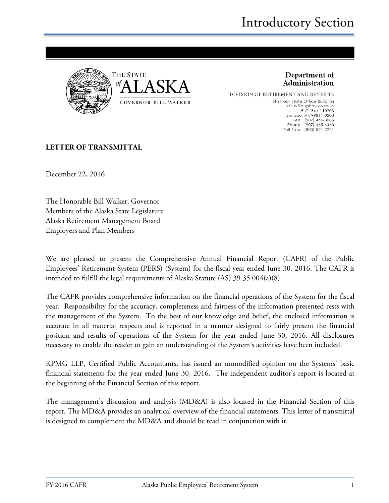

Department of Administration

DIVISION OF RETIREMENT AND BENEFITS 6th Floor State Office Building 333 Willoughby Avenue P.O. Box 110203 Juneau, AK 99811-0203<br>FAX: (907) 465-3086<br>Phone: (907) 465-4460 Toll-Free: (800) 821-2251

#### **LETTER OF TRANSMITTAL**

December 22, 2016

The Honorable Bill Walker, Governor Members of the Alaska State Legislature Alaska Retirement Management Board Employers and Plan Members

We are pleased to present the Comprehensive Annual Financial Report (CAFR) of the Public Employees' Retirement System (PERS) (System) for the fiscal year ended June 30, 2016. The CAFR is intended to fulfill the legal requirements of Alaska Statute (AS) 39.35.004(a)(8).

The CAFR provides comprehensive information on the financial operations of the System for the fiscal year. Responsibility for the accuracy, completeness and fairness of the information presented rests with the management of the System. To the best of our knowledge and belief, the enclosed information is accurate in all material respects and is reported in a manner designed to fairly present the financial position and results of operations of the System for the year ended June 30, 2016. All disclosures necessary to enable the reader to gain an understanding of the System's activities have been included.

KPMG LLP, Certified Public Accountants, has issued an unmodified opinion on the Systems' basic financial statements for the year ended June 30, 2016. The independent auditor's report is located at the beginning of the Financial Section of this report.

The management's discussion and analysis (MD&A) is also located in the Financial Section of this report. The MD&A provides an analytical overview of the financial statements. This letter of transmittal is designed to complement the MD&A and should be read in conjunction with it.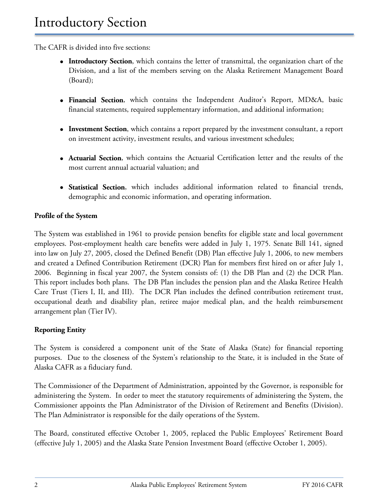The CAFR is divided into five sections:

- **Introductory Section**, which contains the letter of transmittal, the organization chart of the Division, and a list of the members serving on the Alaska Retirement Management Board (Board);
- **Financial Section**, which contains the Independent Auditor's Report, MD&A, basic financial statements, required supplementary information, and additional information;
- **Investment Section**, which contains a report prepared by the investment consultant, a report on investment activity, investment results, and various investment schedules;
- **Actuarial Section**, which contains the Actuarial Certification letter and the results of the most current annual actuarial valuation; and
- **Statistical Section**, which includes additional information related to financial trends, demographic and economic information, and operating information.

#### **Profile of the System**

The System was established in 1961 to provide pension benefits for eligible state and local government employees. Post-employment health care benefits were added in July 1, 1975. Senate Bill 141, signed into law on July 27, 2005, closed the Defined Benefit (DB) Plan effective July 1, 2006, to new members and created a Defined Contribution Retirement (DCR) Plan for members first hired on or after July 1, 2006. Beginning in fiscal year 2007, the System consists of: (1) the DB Plan and (2) the DCR Plan. This report includes both plans. The DB Plan includes the pension plan and the Alaska Retiree Health Care Trust (Tiers I, II, and III). The DCR Plan includes the defined contribution retirement trust, occupational death and disability plan, retiree major medical plan, and the health reimbursement arrangement plan (Tier IV).

#### **Reporting Entity**

The System is considered a component unit of the State of Alaska (State) for financial reporting purposes. Due to the closeness of the System's relationship to the State, it is included in the State of Alaska CAFR as a fiduciary fund.

The Commissioner of the Department of Administration, appointed by the Governor, is responsible for administering the System. In order to meet the statutory requirements of administering the System, the Commissioner appoints the Plan Administrator of the Division of Retirement and Benefits (Division). The Plan Administrator is responsible for the daily operations of the System.

The Board, constituted effective October 1, 2005, replaced the Public Employees' Retirement Board (effective July 1, 2005) and the Alaska State Pension Investment Board (effective October 1, 2005).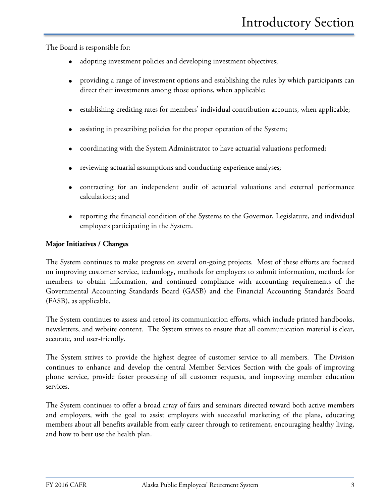The Board is responsible for:

- adopting investment policies and developing investment objectives;
- providing a range of investment options and establishing the rules by which participants can direct their investments among those options, when applicable;
- establishing crediting rates for members' individual contribution accounts, when applicable;
- assisting in prescribing policies for the proper operation of the System;
- coordinating with the System Administrator to have actuarial valuations performed;
- reviewing actuarial assumptions and conducting experience analyses;
- contracting for an independent audit of actuarial valuations and external performance calculations; and
- reporting the financial condition of the Systems to the Governor, Legislature, and individual employers participating in the System.

#### **Major Initiatives / Changes**

The System continues to make progress on several on-going projects. Most of these efforts are focused on improving customer service, technology, methods for employers to submit information, methods for members to obtain information, and continued compliance with accounting requirements of the Governmental Accounting Standards Board (GASB) and the Financial Accounting Standards Board (FASB), as applicable.

The System continues to assess and retool its communication efforts, which include printed handbooks, newsletters, and website content. The System strives to ensure that all communication material is clear, accurate, and user-friendly.

The System strives to provide the highest degree of customer service to all members. The Division continues to enhance and develop the central Member Services Section with the goals of improving phone service, provide faster processing of all customer requests, and improving member education services.

The System continues to offer a broad array of fairs and seminars directed toward both active members and employers, with the goal to assist employers with successful marketing of the plans, educating members about all benefits available from early career through to retirement, encouraging healthy living, and how to best use the health plan.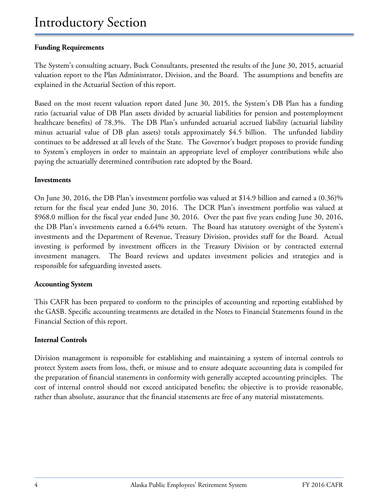#### **Funding Requirements**

The System's consulting actuary, Buck Consultants, presented the results of the June 30, 2015, actuarial valuation report to the Plan Administrator, Division, and the Board. The assumptions and benefits are explained in the Actuarial Section of this report.

Based on the most recent valuation report dated June 30, 2015, the System's DB Plan has a funding ratio (actuarial value of DB Plan assets divided by actuarial liabilities for pension and postemployment healthcare benefits) of 78.3%. The DB Plan's unfunded actuarial accrued liability (actuarial liability minus actuarial value of DB plan assets) totals approximately \$4.5 billion. The unfunded liability continues to be addressed at all levels of the State. The Governor's budget proposes to provide funding to System's employers in order to maintain an appropriate level of employer contributions while also paying the actuarially determined contribution rate adopted by the Board.

#### **Investments**

On June 30, 2016, the DB Plan's investment portfolio was valued at \$14.9 billion and earned a (0.36)% return for the fiscal year ended June 30, 2016. The DCR Plan's investment portfolio was valued at \$968.0 million for the fiscal year ended June 30, 2016. Over the past five years ending June 30, 2016, the DB Plan's investments earned a 6.64% return. The Board has statutory oversight of the System's investments and the Department of Revenue, Treasury Division, provides staff for the Board. Actual investing is performed by investment officers in the Treasury Division or by contracted external investment managers. The Board reviews and updates investment policies and strategies and is responsible for safeguarding invested assets.

#### **Accounting System**

This CAFR has been prepared to conform to the principles of accounting and reporting established by the GASB. Specific accounting treatments are detailed in the Notes to Financial Statements found in the Financial Section of this report.

#### **Internal Controls**

Division management is responsible for establishing and maintaining a system of internal controls to protect System assets from loss, theft, or misuse and to ensure adequate accounting data is compiled for the preparation of financial statements in conformity with generally accepted accounting principles. The cost of internal control should not exceed anticipated benefits; the objective is to provide reasonable, rather than absolute, assurance that the financial statements are free of any material misstatements.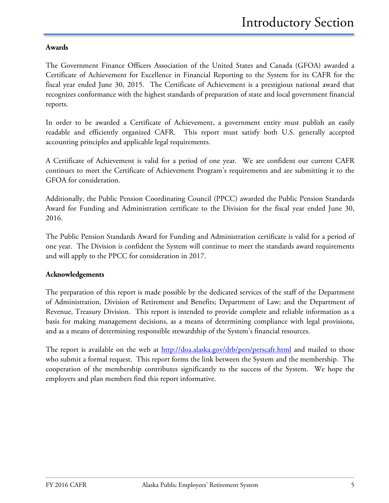#### **Awards**

The Government Finance Officers Association of the United States and Canada (GFOA) awarded a Certificate of Achievement for Excellence in Financial Reporting to the System for its CAFR for the fiscal year ended June 30, 2015. The Certificate of Achievement is a prestigious national award that recognizes conformance with the highest standards of preparation of state and local government financial reports.

In order to be awarded a Certificate of Achievement, a government entity must publish an easily readable and efficiently organized CAFR. This report must satisfy both U.S. generally accepted accounting principles and applicable legal requirements.

A Certificate of Achievement is valid for a period of one year. We are confident our current CAFR continues to meet the Certificate of Achievement Program's requirements and are submitting it to the GFOA for consideration.

Additionally, the Public Pension Coordinating Council (PPCC) awarded the Public Pension Standards Award for Funding and Administration certificate to the Division for the fiscal year ended June 30, 2016.

The Public Pension Standards Award for Funding and Administration certificate is valid for a period of one year. The Division is confident the System will continue to meet the standards award requirements and will apply to the PPCC for consideration in 2017.

#### **Acknowledgements**

The preparation of this report is made possible by the dedicated services of the staff of the Department of Administration, Division of Retirement and Benefits; Department of Law; and the Department of Revenue, Treasury Division. This report is intended to provide complete and reliable information as a basis for making management decisions, as a means of determining compliance with legal provisions, and as a means of determining responsible stewardship of the System's financial resources.

The report is available on the web at<http://doa.alaska.gov/drb/pers/perscafr.html> and mailed to those who submit a formal request. This report forms the link between the System and the membership. The cooperation of the membership contributes significantly to the success of the System. We hope the employers and plan members find this report informative.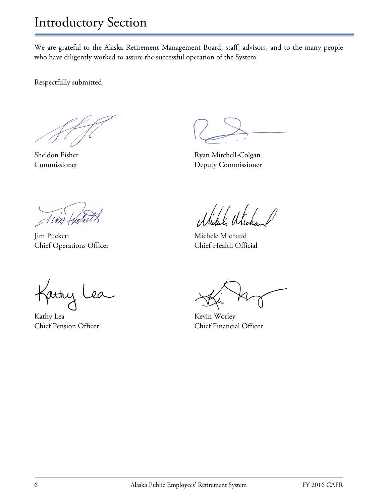We are grateful to the Alaska Retirement Management Board, staff, advisors, and to the many people who have diligently worked to assure the successful operation of the System.

Respectfully submitted,

Jim Puckett Michaud Michele Michaud Chief Operations Officer Chief Health Official

Kathy Lea

Kathy Lea Kevin Worley

Sheldon Fisher Ryan Mitchell-Colgan Commissioner Deputy Commissioner

Milule Wie

Chief Pension Officer Chief Financial Officer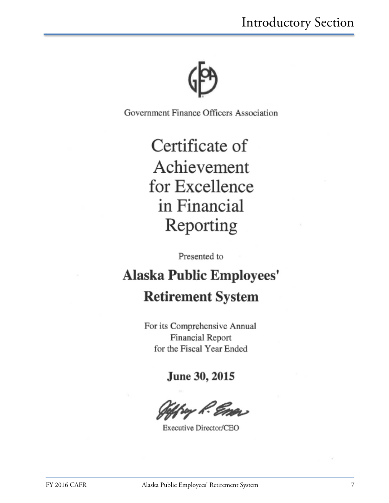

Government Finance Officers Association

# Certificate of Achievement for Excellence in Financial Reporting

Presented to

## **Alaska Public Employees' Retirement System**

For its Comprehensive Annual Financial Report for the Fiscal Year Ended

June 30, 2015

ry R. Emer

Executive Director/CEO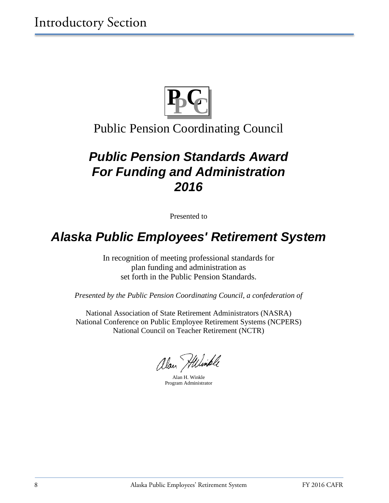

### Public Pension Coordinating Council

## *Public Pension Standards Award For Funding and Administration 2016*

Presented to

## *Alaska Public Employees' Retirement System*

In recognition of meeting professional standards for plan funding and administration as set forth in the Public Pension Standards.

*Presented by the Public Pension Coordinating Council, a confederation of*

National Association of State Retirement Administrators (NASRA) National Conference on Public Employee Retirement Systems (NCPERS) National Council on Teacher Retirement (NCTR)

alan Hilimple

Alan H. Winkle Program Administrator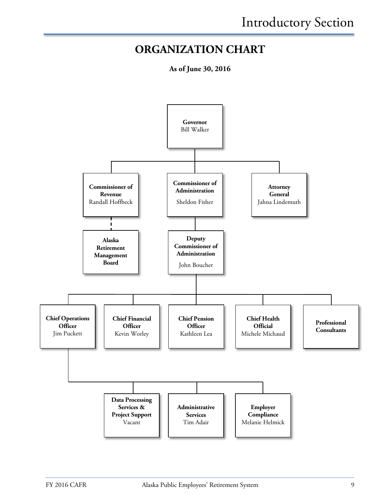### **ORGANIZATION CHART**

**As of June 30, 2016**

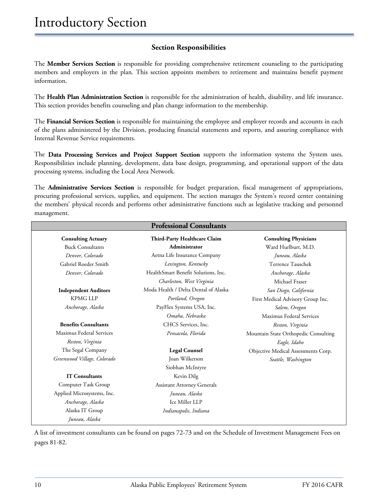#### **Section Responsibilities**

The **Member Services Section** is responsible for providing comprehensive retirement counseling to the participating members and employers in the plan. This section appoints members to retirement and maintains benefit payment information.

The **Health Plan Administration Section** is responsible for the administration of health, disability, and life insurance. This section provides benefits counseling and plan change information to the membership.

The **Financial Services Section** is responsible for maintaining the employee and employer records and accounts in each of the plans administered by the Division, producing financial statements and reports, and assuring compliance with Internal Revenue Service requirements.

The **Data Processing Services and Project Support Section** supports the information systems the System uses. Responsibilities include planning, development, data base design, programming, and operational support of the data processing systems, including the Local Area Network.

The **Administrative Services Section** is responsible for budget preparation, fiscal management of appropriations, procuring professional services, supplies, and equipment. The section manages the System's record center containing the members' physical records and performs other administrative functions such as legislative tracking and personnel management.

|                             | <b>Professional Consultants</b>      |                                      |
|-----------------------------|--------------------------------------|--------------------------------------|
| <b>Consulting Actuary</b>   | Third-Party Healthcare Claim         | <b>Consulting Physicians</b>         |
| <b>Buck Consultants</b>     | Administrator                        | Ward Hurlburt, M.D.                  |
| Denver, Colorado            | Aetna Life Insurance Company         | Juneau, Alaska                       |
| Gabriel Roeder Smith        | Lexington, Kentucky                  | Terrence Tauschek                    |
| Denver, Colorado            | HealthSmart Benefit Solutions, Inc.  | Anchorage, Alaska                    |
|                             | Charleston, West Virginia            | Michael Fraser                       |
| <b>Independent Auditors</b> | Moda Health / Delta Dental of Alaska | San Diego, California                |
| <b>KPMG LLP</b>             | Portland, Oregon                     | First Medical Advisory Group Inc.    |
| Anchorage, Alaska           | PayFlex Systems USA, Inc.            | Salem, Oregon                        |
|                             | Omaha, Nebraska                      | Maximus Federal Services             |
| <b>Benefits Consultants</b> | CHCS Services, Inc.                  | Reston, Virginia                     |
| Maximus Federal Services    | Pensacola, Florida                   | Mountain State Orthopedic Consulting |
| Reston, Virginia            |                                      | Eagle, Idaho                         |
| The Segal Company           | <b>Legal Counsel</b>                 | Objective Medical Assessments Corp.  |
| Greenwood Village, Colorado | Joan Wilkerson                       | Seattle, Washington                  |
|                             | Siobhan McIntyre                     |                                      |
| <b>IT Consultants</b>       | Kevin Dilg                           |                                      |
| Computer Task Group         | <b>Assistant Attorney Generals</b>   |                                      |
| Applied Microsystems, Inc.  | Juneau, Alaska                       |                                      |
| Anchorage, Alaska           | Ice Miller LLP                       |                                      |
| Alaska IT Group             | Indianapolis, Indiana                |                                      |
| Juneau, Alaska              |                                      |                                      |

A list of investment consultants can be found on pages 72-73 and on the Schedule of Investment Management Fees on pages 81-82.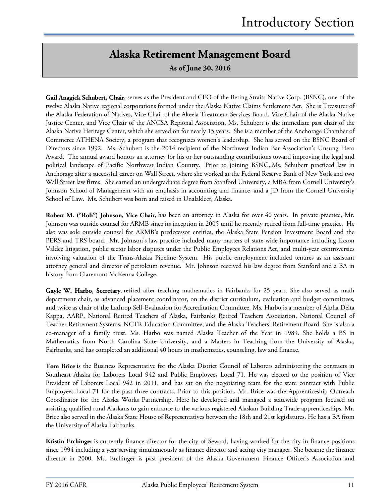### **Alaska Retirement Management Board**

**As of June 30, 2016**

**Gail Anagick Schubert, Chair**, serves as the President and CEO of the Bering Straits Native Corp. (BSNC), one of the twelve Alaska Native regional corporations formed under the Alaska Native Claims Settlement Act. She is Treasurer of the Alaska Federation of Natives, Vice Chair of the Akeela Treatment Services Board, Vice Chair of the Alaska Native Justice Center, and Vice Chair of the ANCSA Regional Association. Ms. Schubert is the immediate past chair of the Alaska Native Heritage Center, which she served on for nearly 15 years. She is a member of the Anchorage Chamber of Commerce ATHENA Society, a program that recognizes women's leadership. She has served on the BSNC Board of Directors since 1992. Ms. Schubert is the 2014 recipient of the Northwest Indian Bar Association's Unsung Hero Award. The annual award honors an attorney for his or her outstanding contributions toward improving the legal and political landscape of Pacific Northwest Indian Country. Prior to joining BSNC, Ms. Schubert practiced law in Anchorage after a successful career on Wall Street, where she worked at the Federal Reserve Bank of New York and two Wall Street law firms. She earned an undergraduate degree from Stanford University, a MBA from Cornell University's Johnson School of Management with an emphasis in accounting and finance, and a JD from the Cornell University School of Law. Ms. Schubert was born and raised in Unalakleet, Alaska.

**Robert M. ("Rob") Johnson, Vice Chair**, has been an attorney in Alaska for over 40 years. In private practice, Mr. Johnson was outside counsel for ARMB since its inception in 2005 until he recently retired from full-time practice. He also was sole outside counsel for ARMB's predecessor entities, the Alaska State Pension Investment Board and the PERS and TRS board. Mr. Johnson's law practice included many matters of state-wide importance including Exxon Valdez litigation, public sector labor disputes under the Public Employees Relations Act, and multi-year controversies involving valuation of the Trans-Alaska Pipeline System. His public employment included tenures as an assistant attorney general and director of petroleum revenue. Mr. Johnson received his law degree from Stanford and a BA in history from Claremont McKenna College.

**Gayle W. Harbo, Secretary**, retired after teaching mathematics in Fairbanks for 25 years. She also served as math department chair, as advanced placement coordinator, on the district curriculum, evaluation and budget committees, and twice as chair of the Lathrop Self-Evaluation for Accreditation Committee. Ms. Harbo is a member of Alpha Delta Kappa, AARP, National Retired Teachers of Alaska, Fairbanks Retired Teachers Association, National Council of Teacher Retirement Systems, NCTR Education Committee, and the Alaska Teachers' Retirement Board. She is also a co-manager of a family trust. Ms. Harbo was named Alaska Teacher of the Year in 1989. She holds a BS in Mathematics from North Carolina State University, and a Masters in Teaching from the University of Alaska, Fairbanks, and has completed an additional 40 hours in mathematics, counseling, law and finance.

**Tom Brice** is the Business Representative for the Alaska District Council of Laborers administering the contracts in Southeast Alaska for Laborers Local 942 and Public Employees Local 71. He was elected to the position of Vice President of Laborers Local 942 in 2011, and has sat on the negotiating team for the state contract with Public Employees Local 71 for the past three contracts. Prior to this position, Mr. Brice was the Apprenticeship Outreach Coordinator for the Alaska Works Partnership. Here he developed and managed a statewide program focused on assisting qualified rural Alaskans to gain entrance to the various registered Alaskan Building Trade apprenticeships. Mr. Brice also served in the Alaska State House of Representatives between the 18th and 21st legislatures. He has a BA from the University of Alaska Fairbanks.

**Kristin Erchinger** is currently finance director for the city of Seward, having worked for the city in finance positions since 1994 including a year serving simultaneously as finance director and acting city manager. She became the finance director in 2000. Ms. Erchinger is past president of the Alaska Government Finance Officer's Association and